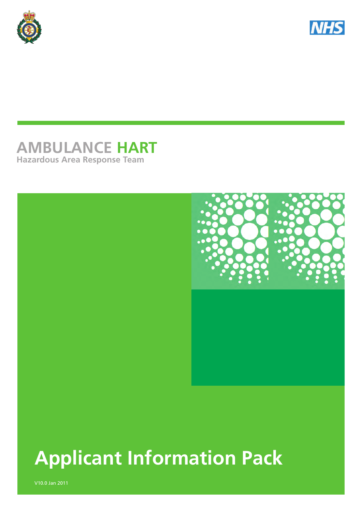



# **AMBULANCE HART Hazardous Area Response Team**



# **Applicant Information Pack**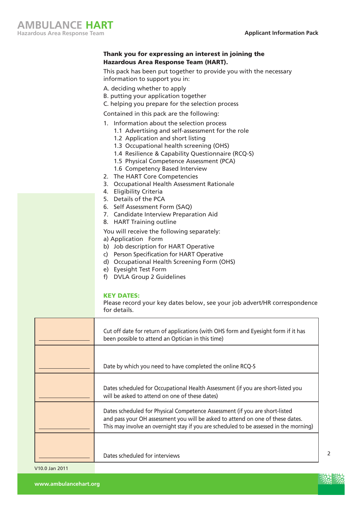#### Thank you for expressing an interest in joining the Hazardous Area Response Team (HART).

This pack has been put together to provide you with the necessary information to support you in:

- A. deciding whether to apply
- B. putting your application together
- C. helping you prepare for the selection process

Contained in this pack are the following:

- 1. Information about the selection process
	- 1.1 Advertising and self-assessment for the role
	- 1.2 Application and short listing
	- 1.3 Occupational health screening (OHS)
	- 1.4 Resilience & Capability Questionnaire (RCQ-S)
	- 1.5 Physical Competence Assessment (PCA)
	- 1.6 Competency Based Interview
- 2. The HART Core Competencies
- 3. Occupational Health Assessment Rationale
- 4. Eligibility Criteria
- 5. Details of the PCA
- 6. Self Assessment Form (SAQ)
- 7. Candidate Interview Preparation Aid
- 8. HART Training outline

You will receive the following separately:

a) Application Form

- b) Job description for HART Operative
- c) Person Specification for HART Operative
- d) Occupational Health Screening Form (OHS)
- e) Eyesight Test Form
- f) DVLA Group 2 Guidelines

#### KEY DATES:

Please record your key dates below, see your job advert/HR correspondence for details.

| Cut off date for return of applications (with OHS form and Eyesight form if it has<br>been possible to attend an Optician in this time)                                                                                                                 |
|---------------------------------------------------------------------------------------------------------------------------------------------------------------------------------------------------------------------------------------------------------|
| Date by which you need to have completed the online RCQ-S                                                                                                                                                                                               |
| Dates scheduled for Occupational Health Assessment (if you are short-listed you<br>will be asked to attend on one of these dates)                                                                                                                       |
| Dates scheduled for Physical Competence Assessment (if you are short-listed<br>and pass your OH assessment you will be asked to attend on one of these dates.<br>This may involve an overnight stay if you are scheduled to be assessed in the morning) |
| Dates scheduled for interviews                                                                                                                                                                                                                          |

2

**www.ambulancehart.org**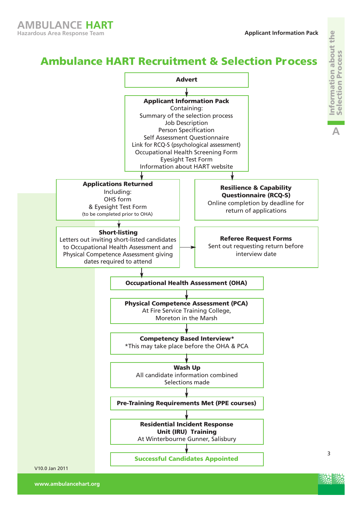nformation about the Information about the election Process Selection Process **A**

# **A** Ambulance HART Recruitment & Selection Process **Advert**

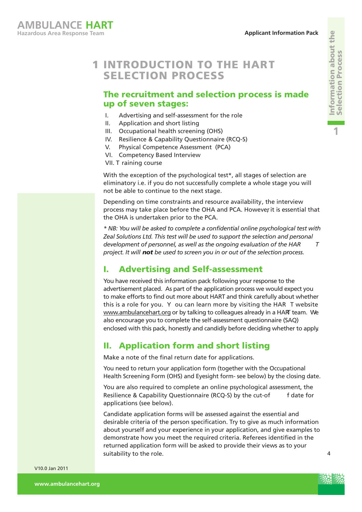# **1 INTRODUCTION TO THE HART** SELECTION PROCESS

### The recruitment and selection process is made up of seven stages:

- I. Advertising and self-assessment for the role
- II. Application and short listing
- III. Occupational health screening (OHS)
- IV. Resilience & Capability Questionnaire (RCQ-S)
- V. Physical Competence Assessment (PCA)
- VI. Competency Based Interview
- VII. T raining course

With the exception of the psychological test\*, all stages of selection are eliminatory i.e. if you do not successfully complete a whole stage you will not be able to continue to the next stage.

Depending on time constraints and resource availability, the interview process may take place before the OHA and PCA. However it is essential that the OHA is undertaken prior to the PCA.

*\* NB: You will be asked to complete a confidential online psychological test with Zeal Solutions Ltd. This test will be used to support the selection and personal development of personnel, as well as the ongoing evaluation of the HAR T project. It will not be used to screen you in or out of the selection process.*

### I. Advertising and Self-assessment

You have received this information pack following your response to the advertisement placed. As part of the application process we would expect you to make efforts to find out more about HART and think carefully about whether this is a role for you. Y ou can learn more by visiting the HAR T website www.ambulancehart.org or by talking to colleagues already in a HART team. We also encourage you to complete the self-assessment questionnaire (SAQ) enclosed with this pack, honestly and candidly before deciding whether to apply.

### II. Application form and short listing

Make a note of the final return date for applications.

You need to return your application form (together with the Occupational Health Screening Form (OHS) and Eyesight form- see below) by the closing date.

You are also required to complete an online psychological assessment, the Resilience & Capability Questionnaire (RCQ-S) by the cut-of f date for applications (see below).

Candidate application forms will be assessed against the essential and desirable criteria of the person specification. Try to give as much information about yourself and your experience in your application, and give examples to demonstrate how you meet the required criteria. Referees identified in the returned application form will be asked to provide their views as to your suitability to the role.



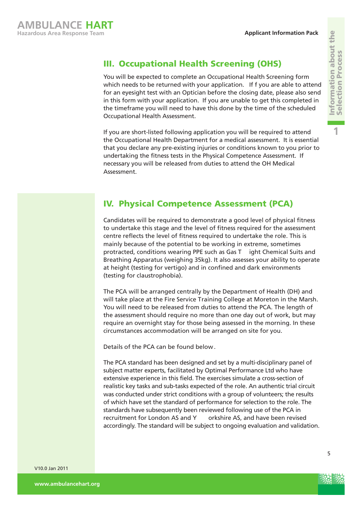# III. Occupational Health Screening (OHS)

You will be expected to complete an Occupational Health Screening form which needs to be returned with your application. If f you are able to attend for an eyesight test with an Optician before the closing date, please also send in this form with your application. If you are unable to get this completed in the timeframe you will need to have this done by the time of the scheduled Occupational Health Assessment.

If you are short-listed following application you will be required to attend the Occupational Health Department for a medical assessment. It is essential that you declare any pre-existing injuries or conditions known to you prior to undertaking the fitness tests in the Physical Competence Assessment. If necessary you will be released from duties to attend the OH Medical Assessment.

# IV. Physical Competence Assessment (PCA)

Candidates will be required to demonstrate a good level of physical fitness to undertake this stage and the level of fitness required for the assessment centre reflects the level of fitness required to undertake the role. This is mainly because of the potential to be working in extreme, sometimes protracted, conditions wearing PPE such as Gas T ight Chemical Suits and Breathing Apparatus (weighing 35kg). It also assesses your ability to operate at height (testing for vertigo) and in confined and dark environments (testing for claustrophobia).

The PCA will be arranged centrally by the Department of Health (DH) and will take place at the Fire Service Training College at Moreton in the Marsh. You will need to be released from duties to attend the PCA. The length of the assessment should require no more than one day out of work, but may require an overnight stay for those being assessed in the morning. In these circumstances accommodation will be arranged on site for you.

Details of the PCA can be found below .

The PCA standard has been designed and set by a multi-disciplinary panel of subject matter experts, facilitated by Optimal Performance Ltd who have extensive experience in this field. The exercises simulate a cross-section of realistic key tasks and sub-tasks expected of the role. An authentic trial circuit was conducted under strict conditions with a group of volunteers; the results of which have set the standard of performance for selection to the role. The standards have subsequently been reviewed following use of the PCA in recruitment for London AS and Y orkshire AS, and have been revised accordingly. The standard will be subject to ongoing evaluation and validation.

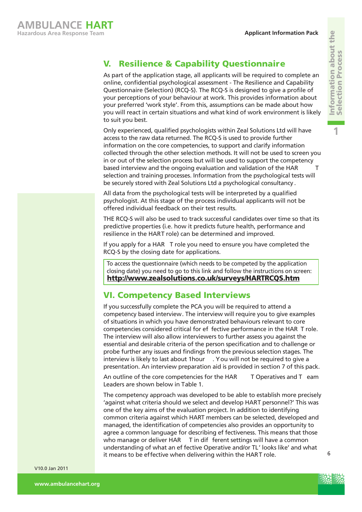**1**

# V. Resilience & Capability Questionnaire

As part of the application stage, all applicants will be required to complete an online, confidential psychological assessment - The Resilience and Capability Questionnaire (Selection) (RCQ-S). The RCQ-S is designed to give a profile of your perceptions of your behaviour at work. This provides information about your preferred 'work style'. From this, assumptions can be made about how you will react in certain situations and what kind of work environment is likely to suit you best.

Only experienced, qualified psychologists within Zeal Solutions Ltd will have access to the raw data returned. The RCQ-S is used to provide further information on the core competencies, to support and clarify information collected through the other selection methods. It will not be used to screen you in or out of the selection process but will be used to support the competency based interview and the ongoing evaluation and validation of the HAR T selection and training processes. Information from the psychological tests will be securely stored with Zeal Solutions Ltd a psychological consultancy .

All data from the psychological tests will be interpreted by a qualified psychologist. At this stage of the process individual applicants will not be offered individual feedback on their test results.

THE RCQ-S will also be used to track successful candidates over time so that its predictive properties (i.e. how it predicts future health, performance and resilience in the HART role) can be determined and improved.

If you apply for a HAR T role you need to ensure you have completed the RCQ-S by the closing date for applications.

To access the questionnaire (which needs to be competed by the application closing date) you need to go to this link and follow the instructions on screen: http://www.zealsolutions.co.uk/surveys/HARTRCQS.htm

## VI. Competency Based Interviews

If you successfully complete the PCA you will be required to attend a competency based interview. The interview will require you to give examples of situations in which you have demonstrated behaviours relevant to core competencies considered critical for ef fective performance in the HAR T role. The interview will also allow interviewers to further assess you against the essential and desirable criteria of the person specification and to challenge or probe further any issues and findings from the previous selection stages. The interview is likely to last about 1hour . You will not be required to give a presentation. An interview preparation aid is provided in section 7 of this pack.

An outline of the core competencies for the HAR T Operatives and T eam Leaders are shown below in Table 1.

The competency approach was developed to be able to establish more precisely 'against what criteria should we select and develop HART personnel?' This was one of the key aims of the evaluation project. In addition to identifying common criteria against which HART members can be selected, developed and managed, the identification of competencies also provides an opportunity to agree a common language for describing ef fectiveness. This means that those who manage or deliver HAR T in dif ferent settings will have a common understanding of what an ef fective Operative and/or TL' looks like' and what it means to be effective when delivering within the HART role.



6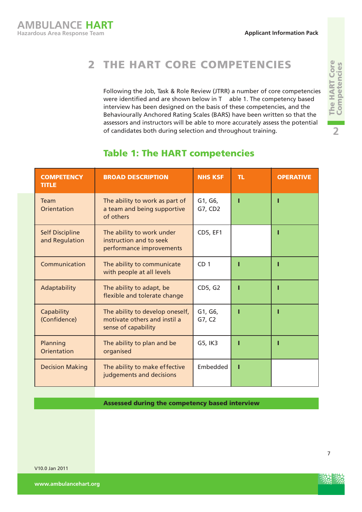# 2 THE HART CORE COMPETENCIES

Following the Job, Task & Role Review (JTRR) a number of core competencies were identified and are shown below in T able 1. The competency based interview has been designed on the basis of these competencies, and the Behaviourally Anchored Rating Scales (BARS) have been written so that the assessors and instructors will be able to more accurately assess the potential of candidates both during selection and throughout training.

| <b>COMPETENCY</b><br><b>TITLE</b>        | <b>BROAD DESCRIPTION</b>                                                               | <b>NHS KSF</b>     | TL. | <b>OPERATIVE</b> |
|------------------------------------------|----------------------------------------------------------------------------------------|--------------------|-----|------------------|
| Team<br>Orientation                      | The ability to work as part of<br>a team and being supportive<br>of others             | G1, G6,<br>G7, CD2 |     |                  |
| <b>Self Discipline</b><br>and Regulation | The ability to work under<br>instruction and to seek<br>performance improvements       | <b>CD5, EF1</b>    |     |                  |
| Communication                            | The ability to communicate<br>with people at all levels                                | CD <sub>1</sub>    |     |                  |
| Adaptability                             | The ability to adapt, be<br>flexible and tolerate change                               | CD5, G2            |     |                  |
| Capability<br>(Confidence)               | The ability to develop oneself,<br>motivate others and instil a<br>sense of capability | G1, G6,<br>G7, C2  |     |                  |
| Planning<br>Orientation                  | The ability to plan and be<br>organised                                                | G5, IK3            |     |                  |
| <b>Decision Making</b>                   | The ability to make effective<br>judgements and decisions                              | Embedded           |     |                  |

## Table 1: The HART competencies

Assessed during the competency based interview

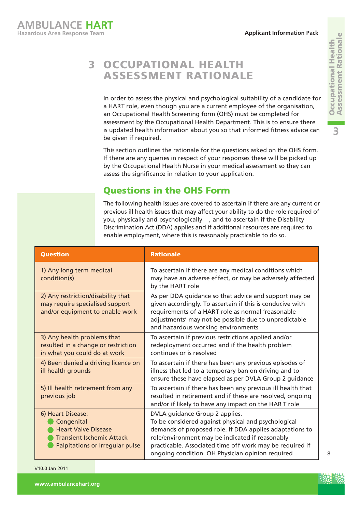#### 3 OCCUPATIONAL HEALTH ASSESSMENT RATIONALE

In order to assess the physical and psychological suitability of a candidate for a HART role, even though you are a current employee of the organisation, an Occupational Health Screening form (OHS) must be completed for assessment by the Occupational Health Department. This is to ensure there is updated health information about you so that informed fitness advice can be given if required.

This section outlines the rationale for the questions asked on the OHS form. If there are any queries in respect of your responses these will be picked up by the Occupational Health Nurse in your medical assessment so they can assess the significance in relation to your application.

# Questions in the OHS Form

The following health issues are covered to ascertain if there are any current or previous ill health issues that may affect your ability to do the role required of you, physically and psychologically , and to ascertain if the Disability Discrimination Act (DDA) applies and if additional resources are required to enable employment, where this is reasonably practicable to do so.

| <b>Question</b>                                                                                                                      | <b>Rationale</b>                                                                                                                                                                                                                                                                                                    |
|--------------------------------------------------------------------------------------------------------------------------------------|---------------------------------------------------------------------------------------------------------------------------------------------------------------------------------------------------------------------------------------------------------------------------------------------------------------------|
| 1) Any long term medical<br>condition(s)                                                                                             | To ascertain if there are any medical conditions which<br>may have an adverse effect, or may be adversely affected<br>by the HART role                                                                                                                                                                              |
| 2) Any restriction/disability that<br>may require specialised support<br>and/or equipment to enable work                             | As per DDA guidance so that advice and support may be<br>given accordingly. To ascertain if this is conducive with<br>requirements of a HART role as normal 'reasonable<br>adjustments' may not be possible due to unpredictable<br>and hazardous working environments                                              |
| 3) Any health problems that<br>resulted in a change or restriction<br>in what you could do at work                                   | To ascertain if previous restrictions applied and/or<br>redeployment occurred and if the health problem<br>continues or is resolved                                                                                                                                                                                 |
| 4) Been denied a driving licence on<br>ill health grounds                                                                            | To ascertain if there has been any previous episodes of<br>illness that led to a temporary ban on driving and to<br>ensure these have elapsed as per DVLA Group 2 guidance                                                                                                                                          |
| 5) Ill health retirement from any<br>previous job                                                                                    | To ascertain if there has been any previous ill health that<br>resulted in retirement and if these are resolved, ongoing<br>and/or if likely to have any impact on the HART role                                                                                                                                    |
| 6) Heart Disease:<br>Congenital<br><b>Heart Valve Disease</b><br><b>Transient Ischemic Attack</b><br>Palpitations or Irregular pulse | DVLA guidance Group 2 applies.<br>To be considered against physical and psychological<br>demands of proposed role. If DDA applies adaptations to<br>role/environment may be indicated if reasonably<br>practicable. Associated time off work may be required if<br>ongoing condition. OH Physician opinion required |

V10.0 Jan 2011

**Occupational Health<br>Assessment Rationale** Assessment Rationale Occupational Health **3**

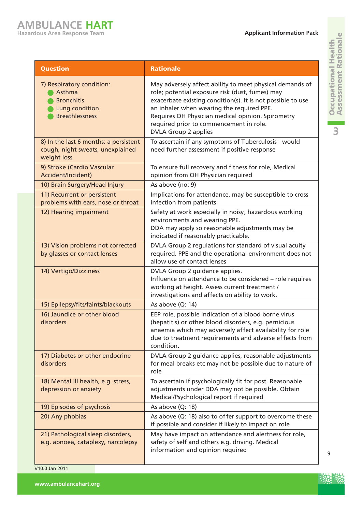| <b>Question</b>                                                                                     | <b>Rationale</b>                                                                                                                                                                                                                                                                                                                                       |
|-----------------------------------------------------------------------------------------------------|--------------------------------------------------------------------------------------------------------------------------------------------------------------------------------------------------------------------------------------------------------------------------------------------------------------------------------------------------------|
| 7) Respiratory condition:<br>Asthma<br><b>Bronchitis</b><br>Lung condition<br><b>Breathlessness</b> | May adversely affect ability to meet physical demands of<br>role; potential exposure risk (dust, fumes) may<br>exacerbate existing condition(s). It is not possible to use<br>an inhaler when wearing the required PPE.<br>Requires OH Physician medical opinion. Spirometry<br>required prior to commencement in role.<br><b>DVLA Group 2 applies</b> |
| 8) In the last 6 months: a persistent<br>cough, night sweats, unexplained<br>weight loss            | To ascertain if any symptoms of Tuberculosis - would<br>need further assessment if positive response                                                                                                                                                                                                                                                   |
| 9) Stroke (Cardio Vascular<br>Accident/Incident)                                                    | To ensure full recovery and fitness for role, Medical<br>opinion from OH Physician required                                                                                                                                                                                                                                                            |
| 10) Brain Surgery/Head Injury                                                                       | As above (no: 9)                                                                                                                                                                                                                                                                                                                                       |
| 11) Recurrent or persistent<br>problems with ears, nose or throat                                   | Implications for attendance, may be susceptible to cross<br>infection from patients                                                                                                                                                                                                                                                                    |
| 12) Hearing impairment                                                                              | Safety at work especially in noisy, hazardous working<br>environments and wearing PPE.<br>DDA may apply so reasonable adjustments may be<br>indicated if reasonably practicable.                                                                                                                                                                       |
| 13) Vision problems not corrected<br>by glasses or contact lenses                                   | DVLA Group 2 regulations for standard of visual acuity<br>required. PPE and the operational environment does not<br>allow use of contact lenses                                                                                                                                                                                                        |
| 14) Vertigo/Dizziness                                                                               | DVLA Group 2 guidance applies.<br>Influence on attendance to be considered - role requires<br>working at height. Assess current treatment /<br>investigations and affects on ability to work.                                                                                                                                                          |
| 15) Epilepsy/fits/faints/blackouts                                                                  | As above (Q: 14)                                                                                                                                                                                                                                                                                                                                       |
| 16) Jaundice or other blood<br>disorders                                                            | EEP role, possible indication of a blood borne virus<br>(hepatitis) or other blood disorders, e.g. pernicious<br>anaemia which may adversely affect availability for role<br>due to treatment requirements and adverse effects from<br>condition.                                                                                                      |
| 17) Diabetes or other endocrine<br>disorders                                                        | DVLA Group 2 guidance applies, reasonable adjustments<br>for meal breaks etc may not be possible due to nature of<br>role                                                                                                                                                                                                                              |
| 18) Mental ill health, e.g. stress,<br>depression or anxiety                                        | To ascertain if psychologically fit for post. Reasonable<br>adjustments under DDA may not be possible. Obtain<br>Medical/Psychological report if required                                                                                                                                                                                              |
| 19) Episodes of psychosis                                                                           | As above (Q: 18)                                                                                                                                                                                                                                                                                                                                       |
| 20) Any phobias                                                                                     | As above (Q: 18) also to of fer support to overcome these<br>if possible and consider if likely to impact on role                                                                                                                                                                                                                                      |
| 21) Pathological sleep disorders,<br>e.g. apnoea, cataplexy, narcolepsy                             | May have impact on attendance and alertness for role,<br>safety of self and others e.g. driving. Medical<br>information and opinion required                                                                                                                                                                                                           |

L

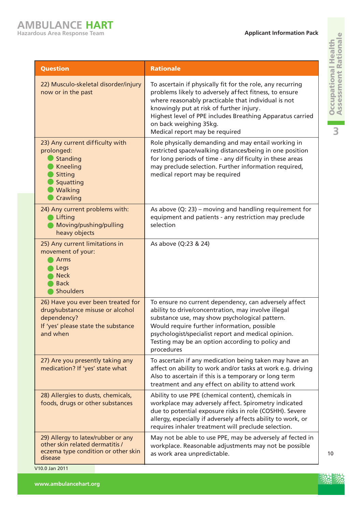**3**

| <b>Question</b>                                                                                                                          | <b>Rationale</b>                                                                                                                                                                                                                                                                                                                                 |
|------------------------------------------------------------------------------------------------------------------------------------------|--------------------------------------------------------------------------------------------------------------------------------------------------------------------------------------------------------------------------------------------------------------------------------------------------------------------------------------------------|
| 22) Musculo-skeletal disorder/injury<br>now or in the past                                                                               | To ascertain if physically fit for the role, any recurring<br>problems likely to adversely affect fitness, to ensure<br>where reasonably practicable that individual is not<br>knowingly put at risk of further injury.<br>Highest level of PPE includes Breathing Apparatus carried<br>on back weighing 35kg.<br>Medical report may be required |
| 23) Any current difficulty with<br>prolonged:<br>Standing<br><b>Kneeling</b><br>Sitting<br>Squatting<br>Walking<br>Crawling              | Role physically demanding and may entail working in<br>restricted space/walking distances/being in one position<br>for long periods of time - any difficulty in these areas<br>may preclude selection. Further information required,<br>medical report may be required                                                                           |
| 24) Any current problems with:<br>Lifting<br>Moving/pushing/pulling<br>heavy objects                                                     | As above $(Q: 23)$ – moving and handling requirement for<br>equipment and patients - any restriction may preclude<br>selection                                                                                                                                                                                                                   |
| 25) Any current limitations in<br>movement of your:<br>Arms<br>Legs<br><b>Neck</b><br><b>Back</b><br><b>Shoulders</b>                    | As above (Q:23 & 24)                                                                                                                                                                                                                                                                                                                             |
| 26) Have you ever been treated for<br>drug/substance misuse or alcohol<br>dependency?<br>If 'yes' please state the substance<br>and when | To ensure no current dependency, can adversely affect<br>ability to drive/concentration, may involve illegal<br>substance use, may show psychological pattern.<br>Would require further information, possible<br>psychologist/specialist report and medical opinion.<br>Testing may be an option according to policy and<br>procedures           |
| 27) Are you presently taking any<br>medication? If 'yes' state what                                                                      | To ascertain if any medication being taken may have an<br>affect on ability to work and/or tasks at work e.g. driving<br>Also to ascertain if this is a temporary or long term<br>treatment and any effect on ability to attend work                                                                                                             |
| 28) Allergies to dusts, chemicals,<br>foods, drugs or other substances                                                                   | Ability to use PPE (chemical content), chemicals in<br>workplace may adversely affect. Spirometry indicated<br>due to potential exposure risks in role (COSHH). Severe<br>allergy, especially if adversely affects ability to work, or<br>requires inhaler treatment will preclude selection.                                                    |
| 29) Allergy to latex/rubber or any<br>other skin related dermatitis /<br>eczema type condition or other skin<br>disease                  | May not be able to use PPE, may be adversely af fected in<br>workplace. Reasonable adjustments may not be possible<br>as work area unpredictable.                                                                                                                                                                                                |



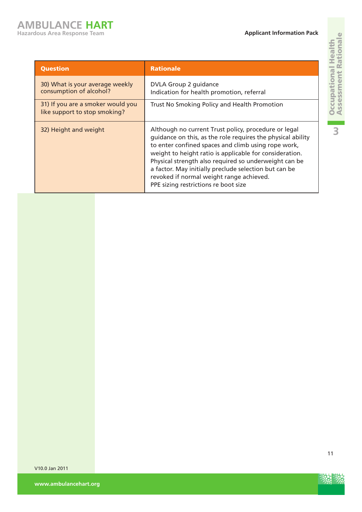| <b>Question</b>                                                    | <b>Rationale</b>                                                                                                                                                                                                                                                                                                                                                                                                                            |
|--------------------------------------------------------------------|---------------------------------------------------------------------------------------------------------------------------------------------------------------------------------------------------------------------------------------------------------------------------------------------------------------------------------------------------------------------------------------------------------------------------------------------|
| 30) What is your average weekly<br>consumption of alcohol?         | DVLA Group 2 guidance<br>Indication for health promotion, referral                                                                                                                                                                                                                                                                                                                                                                          |
| 31) If you are a smoker would you<br>like support to stop smoking? | Trust No Smoking Policy and Health Promotion                                                                                                                                                                                                                                                                                                                                                                                                |
| 32) Height and weight                                              | Although no current Trust policy, procedure or legal<br>guidance on this, as the role requires the physical ability<br>to enter confined spaces and climb using rope work,<br>weight to height ratio is applicable for consideration.<br>Physical strength also required so underweight can be<br>a factor. May initially preclude selection but can be<br>revoked if normal weight range achieved.<br>PPE sizing restrictions re boot size |



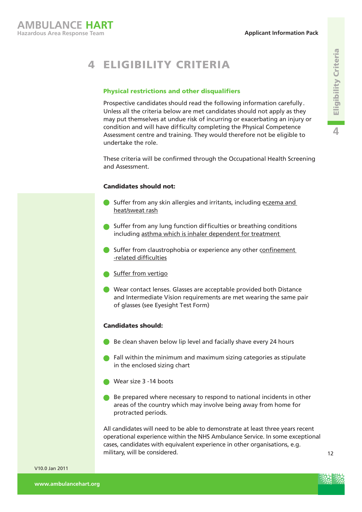# 4 ELIGIBILITY CRITERIA

#### Physical restrictions and other disqualifiers

Prospective candidates should read the following information carefully. Unless all the criteria below are met candidates should not apply as they may put themselves at undue risk of incurring or exacerbating an injury or condition and will have difficulty completing the Physical Competence Assessment centre and training. They would therefore not be eligible to undertake the role.

These criteria will be confirmed through the Occupational Health Screening and Assessment.

#### Candidates should not:

- Suffer from any skin allergies and irritants, including eczema and heat/sweat rash
- **Suffer from any lung function difficulties or breathing conditions** including asthma which is inhaler dependent for treatment
- Suffer from claustrophobia or experience any other confinement -related difficulties
- Suffer from vertigo
- Wear contact lenses. Glasses are acceptable provided both Distance and Intermediate Vision requirements are met wearing the same pair of glasses (see Eyesight Test Form)

#### Candidates should:

- Be clean shaven below lip level and facially shave every 24 hours
- **C** Fall within the minimum and maximum sizing categories as stipulate in the enclosed sizing chart
- Wear size 3 -14 boots
- Be prepared where necessary to respond to national incidents in other areas of the country which may involve being away from home for protracted periods.

All candidates will need to be able to demonstrate at least three years recent operational experience within the NHS Ambulance Service. In some exceptional cases, candidates with equivalent experience in other organisations, e.g. military, will be considered.



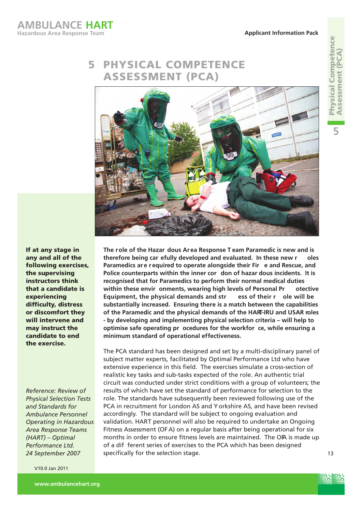# 5 PHYSICAL COMPETENCE ASSESSMENT (PCA)



If at any stage in any and all of the following exercises, the supervising instructors think that a candidate is experiencing difficulty, distress or discomfort they will intervene and may instruct the candidate to end the exercise.

*Reference: Review of Physical Selection Tests and Standards for Ambulance Personnel Operating in Hazardous Area Response Teams (HART) – Optimal Performance Ltd. 24 September 2007* 

V10.0 Jan 2011

**The role of the Hazar dous Area Response T eam Paramedic is new and is therefore being car efully developed and evaluated. In these new r oles Paramedics ar e r equired to operate alongside their Fir e and Rescue, and Police counterparts within the inner cor don of hazar dous incidents. It is recognised that for Paramedics to perform their normal medical duties within these envir onments, wearing high levels of Personal Pr otective Equipment, the physical demands and str ess of their r ole will be substantially increased. Ensuring there is a match between the capabilities of the Paramedic and the physical demands of the HART-IRU and USAR roles - by developing and implementing physical selection criteria – will help to optimise safe operating pr ocedures for the workfor ce, while ensuring a minimum standard of operational effectiveness.** 

The PCA standard has been designed and set by a multi-disciplinary panel of subject matter experts, facilitated by Optimal Performance Ltd who have extensive experience in this field. The exercises simulate a cross-section of realistic key tasks and sub-tasks expected of the role. An authentic trial circuit was conducted under strict conditions with a group of volunteers; the results of which have set the standard of performance for selection to the role. The standards have subsequently been reviewed following use of the PCA in recruitment for London AS and Y orkshire AS, and have been revised accordingly. The standard will be subject to ongoing evaluation and validation. HART personnel will also be required to undertake an Ongoing Fitness Assessment (OF A) on a regular basis after being operational for six months in order to ensure fitness levels are maintained. The OPA is made up of a dif ferent series of exercises to the PCA which has been designed specifically for the selection stage.

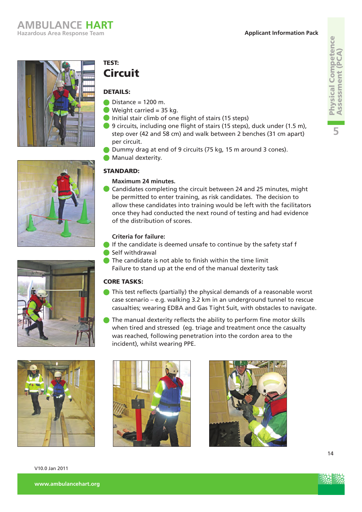





V10.0 Jan 2011

# TEST: **Circuit**

### DETAILS:

- $\bullet$  Distance = 1200 m.
- Weight carried  $= 35$  kg.
- Initial stair climb of one flight of stairs (15 steps)
- 9 circuits, including one flight of stairs (15 steps), duck under (1.5 m), step over (42 and 58 cm) and walk between 2 benches (31 cm apart) per circuit.
- Dummy drag at end of 9 circuits (75 kg, 15 m around 3 cones).
- **Manual dexterity.**

### STANDARD:

### **Maximum 24 minutes.**

Candidates completing the circuit between 24 and 25 minutes, might be permitted to enter training, as risk candidates. The decision to allow these candidates into training would be left with the facilitators once they had conducted the next round of testing and had evidence of the distribution of scores.

### **Criteria for failure:**

- If the candidate is deemed unsafe to continue by the safety staf f
- Self withdrawal
- **O** The candidate is not able to finish within the time limit Failure to stand up at the end of the manual dexterity task

### CORE TASKS:

- This test reflects (partially) the physical demands of a reasonable worst case scenario – e.g. walking 3.2 km in an underground tunnel to rescue casualties; wearing EDBA and Gas Tight Suit, with obstacles to navigate.
- The manual dexterity reflects the ability to perform fine motor skills when tired and stressed (eg. triage and treatment once the casualty was reached, following penetration into the cordon area to the incident), whilst wearing PPE.





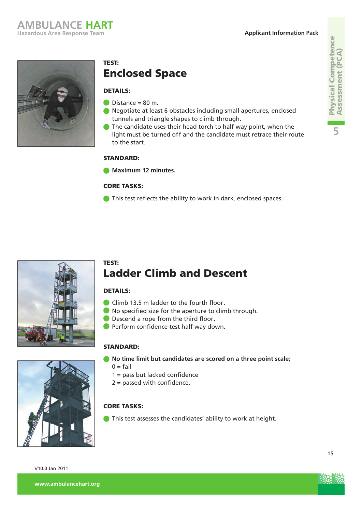#### **Applicant Information Pack**

Physical Competence Assessment (PCA)

**Physical Competence<br>Assessment (PCA)** 

**5**



## TEST: Enclosed Space

### DETAILS:

- $Distance = 80 m$ .
- Negotiate at least 6 obstacles including small apertures, enclosed tunnels and triangle shapes to climb through.
- The candidate uses their head torch to half way point, when the light must be turned off and the candidate must retrace their route to the start.

### STANDARD:

**Maximum 12 minutes.** 

### CORE TASKS:

This test reflects the ability to work in dark, enclosed spaces.



### TEST: Ladder Climb and Descent

### DETAILS:

- Climb 13.5 m ladder to the fourth floor.
- No specified size for the aperture to climb through.
- **Descend a rope from the third floor.**
- **Perform confidence test half way down.**

### STANDARD:

- **No time limit but candidates are scored on a three point scale;** 
	- $0 = \text{fail}$
	- 1 = pass but lacked confidence
	- 2 = passed with confidence.

### CORE TASKS:

This test assesses the candidates' ability to work at height.



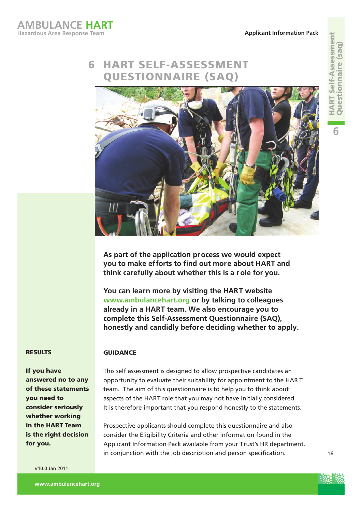### HART SELF-ASSESSMENT QUESTIONNAIRE (SAQ) 6



**As part of the application process we would expect you to make efforts to find out more about HART and think carefully about whether this is a r ole for you.** 

**You can learn more by visiting the HART website www.ambulancehart.org or by talking to colleagues already in a HART team. We also encourage you to complete this Self-Assessment Questionnaire (SAQ), honestly and candidly before deciding whether to apply.**

#### RESULTS

If you have answered no to any of these statements you need to consider seriously whether working in the HART Team is the right decision for you.

V10.0 Jan 2011

This self assessment is designed to allow prospective candidates an opportunity to evaluate their suitability for appointment to the HAR T team. The aim of this questionnaire is to help you to think about aspects of the HART role that you may not have initially considered. It is therefore important that you respond honestly to the statements.

Prospective applicants should complete this questionnaire and also consider the Eligibility Criteria and other information found in the Applicant Information Pack available from your Trust's HR department, in conjunction with the job description and person specification.

**6**

16



**GUIDANCE**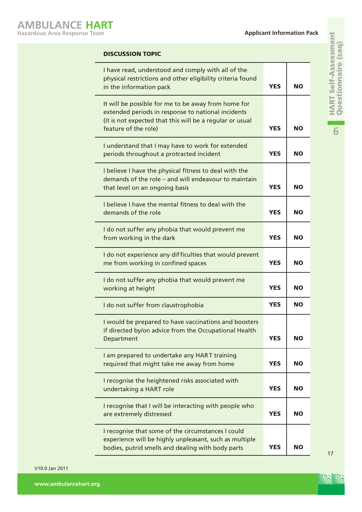| <b>DISCUSSION TOPIC</b>                                                                                                                                                                       |            |           |
|-----------------------------------------------------------------------------------------------------------------------------------------------------------------------------------------------|------------|-----------|
| I have read, understood and comply with all of the<br>physical restrictions and other eligibility criteria found<br>in the information pack                                                   | <b>YES</b> | <b>NO</b> |
| It will be possible for me to be away from home for<br>extended periods in response to national incidents<br>(it is not expected that this will be a regular or usual<br>feature of the role) | <b>YES</b> | <b>NO</b> |
| I understand that I may have to work for extended<br>periods throughout a protracted incident                                                                                                 | <b>YES</b> | <b>NO</b> |
| I believe I have the physical fitness to deal with the<br>demands of the role - and will endeavour to maintain<br>that level on an ongoing basis                                              | <b>YES</b> | <b>NO</b> |
| I believe I have the mental fitness to deal with the<br>demands of the role                                                                                                                   | <b>YES</b> | <b>NO</b> |
| I do not suffer any phobia that would prevent me<br>from working in the dark                                                                                                                  | <b>YES</b> | <b>NO</b> |
| I do not experience any difficulties that would prevent<br>me from working in confined spaces                                                                                                 | <b>YES</b> | <b>NO</b> |
| I do not suffer any phobia that would prevent me<br>working at height                                                                                                                         | <b>YES</b> | <b>NO</b> |
| I do not suffer from claustrophobia                                                                                                                                                           | <b>YES</b> | <b>NO</b> |
| I would be prepared to have vaccinations and boosters<br>if directed by/on advice from the Occupational Health<br>Department                                                                  | <b>YES</b> | <b>NO</b> |
| I am prepared to undertake any HART training<br>required that might take me away from home                                                                                                    | <b>YES</b> | <b>NO</b> |
| I recognise the heightened risks associated with<br>undertaking a HART role                                                                                                                   | <b>YES</b> | <b>NO</b> |
| I recognise that I will be interacting with people who<br>are extremely distressed                                                                                                            | <b>YES</b> | <b>NO</b> |
| I recognise that some of the circumstances I could<br>experience will be highly unpleasant, such as multiple<br>bodies, putrid smells and dealing with body parts                             | <b>YES</b> | <b>NO</b> |

**6**

17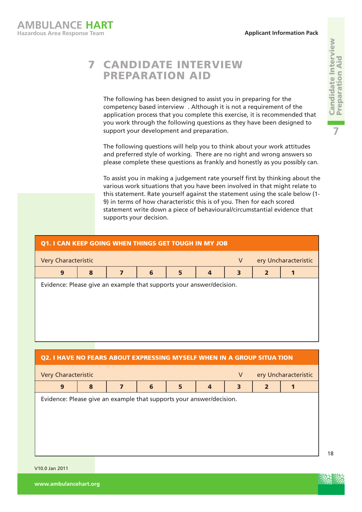# CANDIDATE INTERVIEW 7 PREPARATION AID

The following has been designed to assist you in preparing for the competency based interview . Although it is not a requirement of the application process that you complete this exercise, it is recommended that you work through the following questions as they have been designed to support your development and preparation.

The following questions will help you to think about your work attitudes and preferred style of working. There are no right and wrong answers so please complete these questions as frankly and honestly as you possibly can.

To assist you in making a judgement rate yourself first by thinking about the various work situations that you have been involved in that might relate to this statement. Rate yourself against the statement using the scale below (1- 9) in terms of how characteristic this is of you. Then for each scored statement write down a piece of behavioural/circumstantial evidence that supports your decision.

| Q1. I CAN KEEP GOING WHEN THINGS GET TOUGH IN MY JOB                 |   |   |   |   |                |   |                |  |
|----------------------------------------------------------------------|---|---|---|---|----------------|---|----------------|--|
| ery Uncharacteristic<br>V<br><b>Very Characteristic</b>              |   |   |   |   |                |   |                |  |
| 9                                                                    | 8 | 7 | 6 | 5 | $\overline{a}$ | 3 | $\overline{2}$ |  |
| Evidence: Please give an example that supports your answer/decision. |   |   |   |   |                |   |                |  |

### Q2. I HAVE NO FEARS ABOUT EXPRESSING MYSELF WHEN IN A GROUP SITUA TION



V10.0 Jan 2011

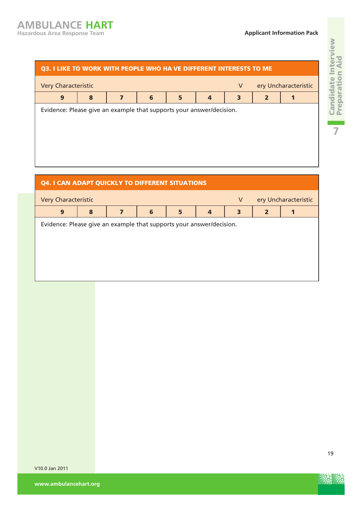#### Q3. I LIKE TO WORK WITH PEOPLE WHO HA VE DIFFERENT INTERESTS TO ME

| ery Uncharacteristic<br><b>Very Characteristic</b><br>V              |  |  |  |  |  |  |  |  |
|----------------------------------------------------------------------|--|--|--|--|--|--|--|--|
| 9<br>6<br>8<br>$\overline{4}$<br>3<br>5                              |  |  |  |  |  |  |  |  |
| Evidence: Please give an example that supports your answer/decision. |  |  |  |  |  |  |  |  |
|                                                                      |  |  |  |  |  |  |  |  |
|                                                                      |  |  |  |  |  |  |  |  |

# Q4. I CAN ADAPT QUICKLY TO DIFFERENT SITUATIONS Very Characteristic **Very Characteristic** Very Uncharacteristic 9 | 8 | 7 | 6 | 5 | 4 | 3 | 2 | 1 Evidence: Please give an example that supports your answer/decision.

V10.0 Jan 2011

**Candidate Interview**<br>Preparation Aid 19Candidate Interview Preparation Aid an an a

**7**



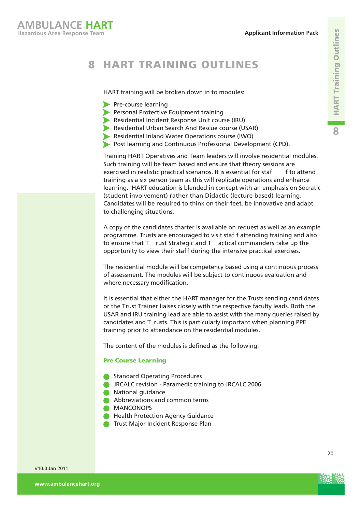#### 8 HART TRAINING OUTLINES

HART training will be broken down in to modules:

- Pre-course learning
- **Personal Protective Equipment training**
- Residential Incident Response Unit course (IRU)
- Residential Urban Search And Rescue course (USAR)
- Residential Inland Water Operations course (IWO)
- Post learning and Continuous Professional Development (CPD).

Training HART Operatives and Team leaders will involve residential modules. Such training will be team based and ensure that theory sessions are exercised in realistic practical scenarios. It is essential for staf f to attend training as a six person team as this will replicate operations and enhance learning. HART education is blended in concept with an emphasis on Socratic (student involvement) rather than Didactic (lecture based) learning. Candidates will be required to think on their feet, be innovative and adapt to challenging situations.

A copy of the candidates charter is available on request as well as an example programme. Trusts are encouraged to visit staf f attending training and also to ensure that T rust Strategic and T actical commanders take up the opportunity to view their staff during the intensive practical exercises.

The residential module will be competency based using a continuous process of assessment. The modules will be subject to continuous evaluation and where necessary modification.

It is essential that either the HART manager for the Trusts sending candidates or the Trust Trainer liaises closely with the respective faculty leads. Both the USAR and IRU training lead are able to assist with the many queries raised by candidates and T rusts. This is particularly important when planning PPE training prior to attendance on the residential modules.

The content of the modules is defined as the following.

#### Pre Course Learning

- **Standard Operating Procedures**
- **C** JRCALC revision Paramedic training to JRCALC 2006
- **National quidance**
- Abbreviations and common terms
- **MANCONOPS**
- **Health Protection Agency Guidance**
- **Trust Major Incident Response Plan**



20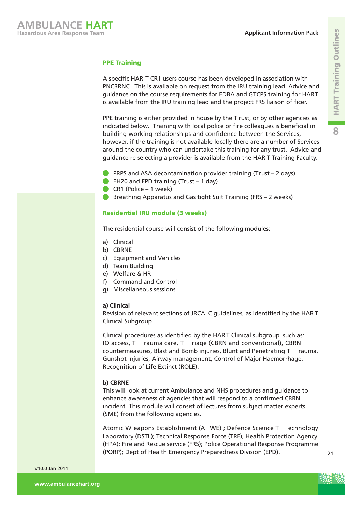

#### PPE Training

A specific HAR T CR1 users course has been developed in association with PNCBRNC. This is available on request from the IRU training lead. Advice and guidance on the course requirements for EDBA and GTCPS training for HART is available from the IRU training lead and the project FRS liaison of ficer.

PPE training is either provided in house by the T rust, or by other agencies as indicated below. Training with local police or fire colleagues is beneficial in building working relationships and confidence between the Services, however, if the training is not available locally there are a number of Services around the country who can undertake this training for any trust. Advice and guidance re selecting a provider is available from the HAR T Training Faculty.

- **PRPS** and ASA decontamination provider training (Trust  $-2$  days)
- **EH20 and EPD training (Trust 1 day)**
- $\bullet$  CR1 (Police 1 week)
- **Breathing Apparatus and Gas tight Suit Training (FRS 2 weeks)**

#### Residential IRU module (3 weeks)

The residential course will consist of the following modules:

- a) Clinical
- b) CBRNE
- c) Equipment and Vehicles
- d) Team Building
- e) Welfare & HR
- f) Command and Control
- g) Miscellaneous sessions

#### **a) Clinical**

Revision of relevant sections of JRCALC guidelines, as identified by the HAR T Clinical Subgroup.

Clinical procedures as identified by the HAR T Clinical subgroup, such as: IO access, T rauma care, T riage (CBRN and conventional), CBRN countermeasures, Blast and Bomb injuries, Blunt and Penetrating T rauma, Gunshot injuries, Airway management, Control of Major Haemorrhage, Recognition of Life Extinct (ROLE).

#### **b) CBRNE**

This will look at current Ambulance and NHS procedures and guidance to enhance awareness of agencies that will respond to a confirmed CBRN incident. This module will consist of lectures from subject matter experts (SME) from the following agencies.

Atomic W eapons Establishment (A WE) ; Defence Science T echnology Laboratory (DSTL); Technical Response Force (TRF); Health Protection Agency (HPA); Fire and Rescue service (FRS); Police Operational Response Programme (PORP); Dept of Health Emergency Preparedness Division (EPD).



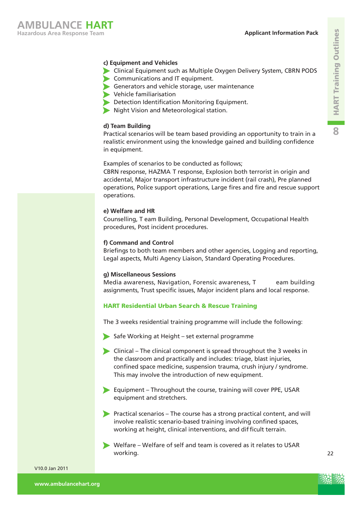

#### **c) Equipment and Vehicles**

- Clinical Equipment such as Multiple Oxygen Delivery System, CBRN PODS
- Communications and IT equipment.
- Generators and vehicle storage, user maintenance
- Vehicle familiarisation
- Detection Identification Monitoring Equipment.
- Night Vision and Meteorological station.

#### **d) Team Building**

Practical scenarios will be team based providing an opportunity to train in a realistic environment using the knowledge gained and building confidence in equipment.

#### Examples of scenarios to be conducted as follows;

CBRN response, HAZMA T response, Explosion both terrorist in origin and accidental, Major transport infrastructure incident (rail crash), Pre planned operations, Police support operations, Large fires and fire and rescue support operations.

#### **e) Welfare and HR**

Counselling, T eam Building, Personal Development, Occupational Health procedures, Post incident procedures.

#### **f) Command and Control**

Briefings to both team members and other agencies, Logging and reporting, Legal aspects, Multi Agency Liaison, Standard Operating Procedures.

#### **g) Miscellaneous Sessions**

Media awareness, Navigation, Forensic awareness, T eam building assignments, Trust specific issues, Major incident plans and local response.

#### HART Residential Urban Search & Rescue Training

The 3 weeks residential training programme will include the following:

Safe Working at Height – set external programme

- Clinical The clinical component is spread throughout the 3 weeks in the classroom and practically and includes: triage, blast injuries, confined space medicine, suspension trauma, crush injury / syndrome. This may involve the introduction of new equipment.
- Equipment Throughout the course, training will cover PPE, USAR equipment and stretchers.
- Practical scenarios The course has a strong practical content, and will involve realistic scenario-based training involving confined spaces, working at height, clinical interventions, and difficult terrain.
- Welfare Welfare of self and team is covered as it relates to USAR working.